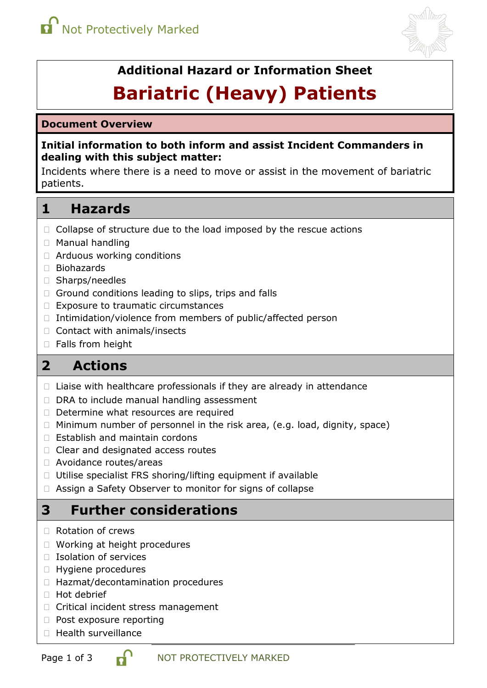

# **Additional Hazard or Information Sheet**

# **Bariatric (Heavy) Patients**

#### **Document Overview**

#### **Initial information to both inform and assist Incident Commanders in dealing with this subject matter:**

Incidents where there is a need to move or assist in the movement of bariatric patients.

# **1 Hazards**

- $\Box$  Collapse of structure due to the load imposed by the rescue actions
- Manual handling
- Arduous working conditions
- Biohazards
- □ Sharps/needles
- $\Box$  Ground conditions leading to slips, trips and falls
- □ Exposure to traumatic circumstances
- $\Box$  Intimidation/violence from members of public/affected person
- □ Contact with animals/insects
- □ Falls from height

# **2 Actions**

- $\Box$  Liaise with healthcare professionals if they are already in attendance
- $\Box$  DRA to include manual handling assessment
- $\Box$  Determine what resources are required
- $\Box$  Minimum number of personnel in the risk area, (e.g. load, dignity, space)
- $\Box$  Establish and maintain cordons
- □ Clear and designated access routes
- Avoidance routes/areas
- $\Box$  Utilise specialist FRS shoring/lifting equipment if available
- Assign a Safety Observer to monitor for signs of collapse

# **3 Further considerations**

- □ Rotation of crews
- □ Working at height procedures
- $\Box$  Isolation of services
- □ Hygiene procedures
- □ Hazmat/decontamination procedures
- □ Hot debrief
- □ Critical incident stress management
- $\Box$  Post exposure reporting
- $\Box$  Health surveillance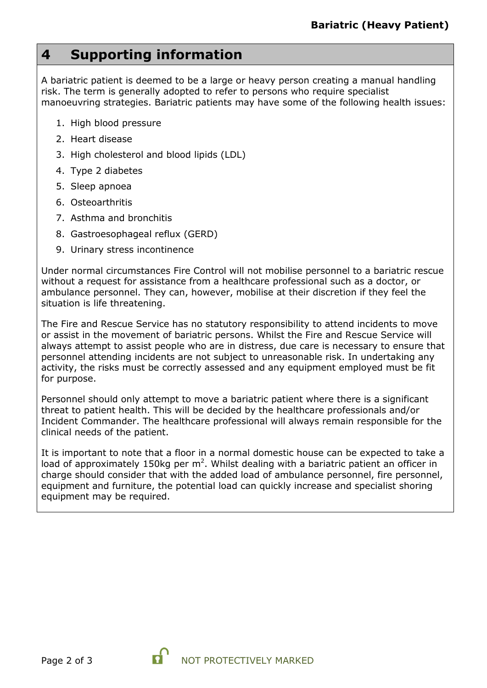# **4 Supporting information**

A bariatric patient is deemed to be a large or heavy person creating a manual handling risk. The term is generally adopted to refer to persons who require specialist manoeuvring strategies. Bariatric patients may have some of the following health issues:

- 1. High blood pressure
- 2. Heart disease
- 3. High cholesterol and blood lipids (LDL)
- 4. Type 2 diabetes
- 5. Sleep apnoea
- 6. Osteoarthritis
- 7. Asthma and bronchitis
- 8. Gastroesophageal reflux (GERD)
- 9. Urinary stress incontinence

Under normal circumstances Fire Control will not mobilise personnel to a bariatric rescue without a request for assistance from a healthcare professional such as a doctor, or ambulance personnel. They can, however, mobilise at their discretion if they feel the situation is life threatening.

The Fire and Rescue Service has no statutory responsibility to attend incidents to move or assist in the movement of bariatric persons. Whilst the Fire and Rescue Service will always attempt to assist people who are in distress, due care is necessary to ensure that personnel attending incidents are not subject to unreasonable risk. In undertaking any activity, the risks must be correctly assessed and any equipment employed must be fit for purpose.

Personnel should only attempt to move a bariatric patient where there is a significant threat to patient health. This will be decided by the healthcare professionals and/or Incident Commander. The healthcare professional will always remain responsible for the clinical needs of the patient.

It is important to note that a floor in a normal domestic house can be expected to take a load of approximately 150kg per  $m^2$ . Whilst dealing with a bariatric patient an officer in charge should consider that with the added load of ambulance personnel, fire personnel, equipment and furniture, the potential load can quickly increase and specialist shoring equipment may be required.